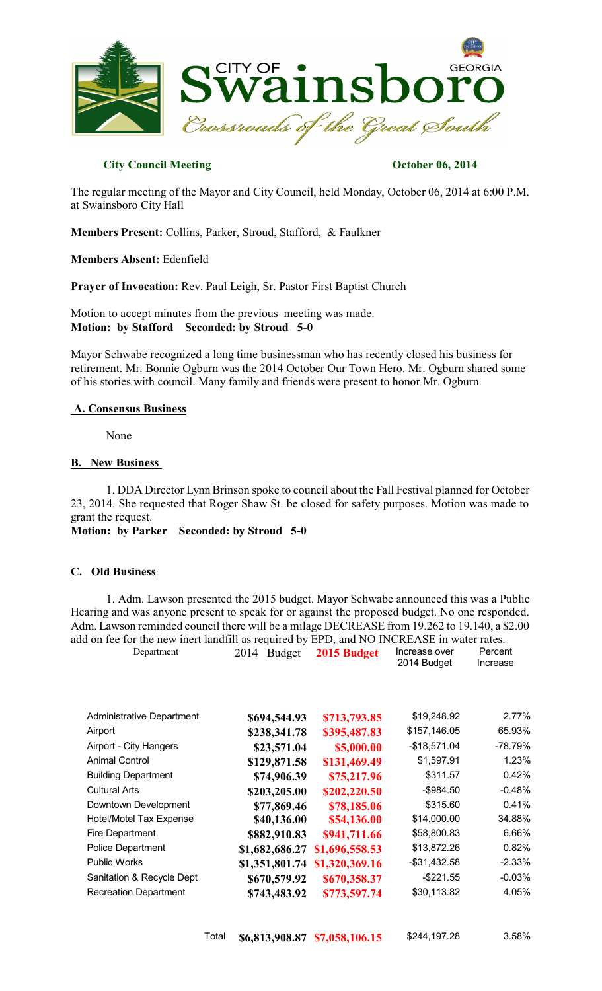

## **City Council Meeting Constraints October 06, 2014**

The regular meeting of the Mayor and City Council, held Monday, October 06, 2014 at 6:00 P.M. at Swainsboro City Hall

**Members Present:** Collins, Parker, Stroud, Stafford, & Faulkner

**Members Absent:** Edenfield

**Prayer of Invocation:** Rev. Paul Leigh, Sr. Pastor First Baptist Church

Motion to accept minutes from the previous meeting was made. **Motion: by Stafford Seconded: by Stroud 5-0**

Mayor Schwabe recognized a long time businessman who has recently closed his business for retirement. Mr. Bonnie Ogburn was the 2014 October Our Town Hero. Mr. Ogburn shared some of his stories with council. Many family and friends were present to honor Mr. Ogburn.

#### **A. Consensus Business**

None

### **B. New Business**

1. DDA Director Lynn Brinson spoke to council about the Fall Festival planned for October 23, 2014. She requested that Roger Shaw St. be closed for safety purposes. Motion was made to grant the request.

**Motion: by Parker Seconded: by Stroud 5-0**

### **C. Old Business**

1. Adm. Lawson presented the 2015 budget. Mayor Schwabe announced this was a Public Hearing and was anyone present to speak for or against the proposed budget. No one responded. Adm. Lawson reminded council there will be a milage DECREASE from 19.262 to 19.140, a \$2.00 add on fee for the new inert landfill as required by EPD, and NO INCREASE in water rates.

| Department                       | 2014<br><b>Budget</b> | 2015 Budget    | Increase over<br>2014 Budget | Percent<br>Increase |
|----------------------------------|-----------------------|----------------|------------------------------|---------------------|
| <b>Administrative Department</b> | \$694,544.93          | \$713,793.85   | \$19,248.92                  | 2.77%               |
| Airport                          | \$238,341.78          | \$395,487.83   | \$157,146.05                 | 65.93%              |
| Airport - City Hangers           | \$23,571.04           | \$5,000.00     | $-$18,571.04$                | -78.79%             |
| <b>Animal Control</b>            | \$129,871.58          | \$131,469.49   | \$1,597.91                   | 1.23%               |
| <b>Building Department</b>       | \$74,906.39           | \$75,217.96    | \$311.57                     | 0.42%               |
| <b>Cultural Arts</b>             | \$203,205.00          | \$202,220.50   | $-$ \$984.50                 | $-0.48%$            |
| Downtown Development             | \$77,869.46           | \$78,185.06    | \$315.60                     | 0.41%               |
| <b>Hotel/Motel Tax Expense</b>   | \$40,136.00           | \$54,136.00    | \$14,000.00                  | 34.88%              |
| Fire Department                  | \$882,910.83          | \$941,711.66   | \$58,800.83                  | 6.66%               |
| <b>Police Department</b>         | \$1,682,686.27        | \$1,696,558.53 | \$13,872.26                  | 0.82%               |
| <b>Public Works</b>              | \$1,351,801.74        | \$1,320,369.16 | $-$31,432.58$                | $-2.33%$            |
| Sanitation & Recycle Dept        | \$670,579.92          | \$670,358.37   | $-$221.55$                   | $-0.03%$            |
| <b>Recreation Department</b>     | \$743,483.92          | \$773,597.74   | \$30,113.82                  | 4.05%               |
|                                  |                       |                |                              |                     |